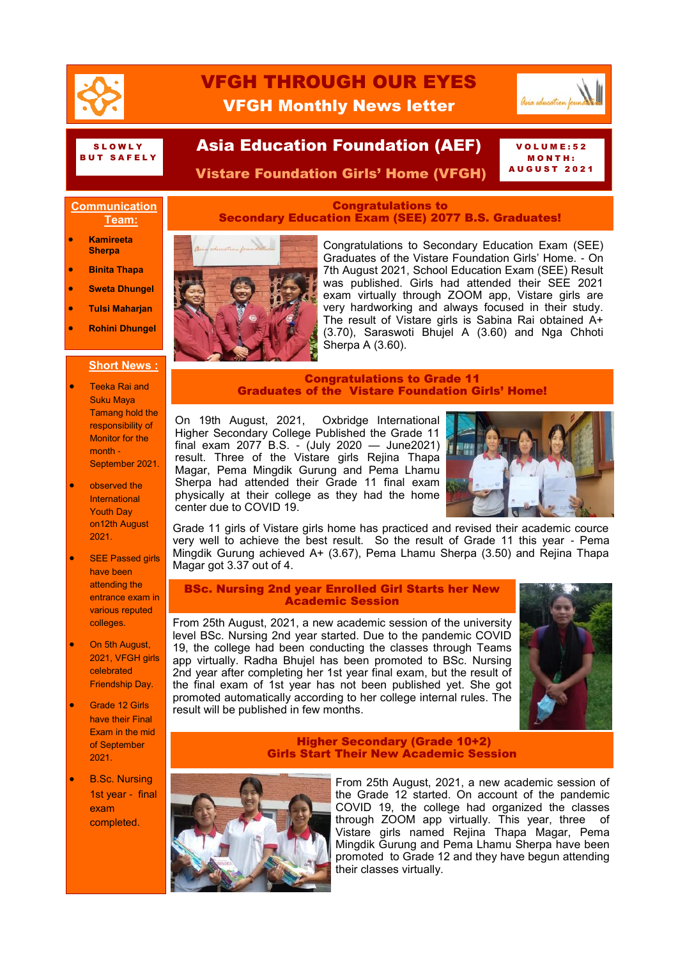

# VFGH THROUGH OUR EYES VFGH Monthly News letter



#### S L O W L Y B U T S A F E L Y

## Asia Education Foundation (AEF)

 $OLUME: 52$ M O N T H : A U G U S T 2 0 2 1

Vistare Foundation Girls' Home (VFGH)

## **Communication Team:**

- **Kamireeta Sherpa**
- **Binita Thapa**
- **Sweta Dhungel**
- **Tulsi Maharjan**
- **Rohini Dhungel**

## **Short News :**

- Teeka Rai and Suku Maya Tamang hold the responsibility of Monitor for the month - September 2021.
- observed the International Youth Day on12th August 2021.
- **SEE Passed girls** have been attending the entrance exam in various reputed colleges.
- On 5th August, 2021, VFGH girls celebrated Friendship Day.
- Grade 12 Girls have their Final Exam in the mid of September 2021.
- B.Sc. Nursing 1st year - final exam completed.

## Congratulations to Secondary Education Exam (SEE) 2077 B.S. Graduates!



Congratulations to Secondary Education Exam (SEE) Graduates of the Vistare Foundation Girls' Home. - On 7th August 2021, School Education Exam (SEE) Result was published. Girls had attended their SEE 2021 exam virtually through ZOOM app, Vistare girls are very hardworking and always focused in their study. The result of Vistare girls is Sabina Rai obtained A+ (3.70), Saraswoti Bhujel A (3.60) and Nga Chhoti Sherpa A  $(3.60)$ .

## Congratulations to Grade 11 Graduates of the Vistare Foundation Girls' Home!

On 19th August, 2021, Oxbridge International Higher Secondary College Published the Grade 11 final exam 2077 B.S. - (July 2020 — June2021) result. Three of the Vistare girls Rejina Thapa Magar, Pema Mingdik Gurung and Pema Lhamu Sherpa had attended their Grade 11 final exam physically at their college as they had the home center due to COVID 19.



Grade 11 girls of Vistare girls home has practiced and revised their academic cource very well to achieve the best result. So the result of Grade 11 this year - Pema Mingdik Gurung achieved A+ (3.67), Pema Lhamu Sherpa (3.50) and Rejina Thapa Magar got 3.37 out of 4.

## BSc. Nursing 2nd year Enrolled Girl Starts her New Academic Session

From 25th August, 2021, a new academic session of the university level BSc. Nursing 2nd year started. Due to the pandemic COVID 19, the college had been conducting the classes through Teams app virtually. Radha Bhujel has been promoted to BSc. Nursing 2nd year after completing her 1st year final exam, but the result of the final exam of 1st year has not been published yet. She got promoted automatically according to her college internal rules. The result will be published in few months.



#### Higher Secondary (Grade 10+2) Girls Start Their New Academic Session



From 25th August, 2021, a new academic session of the Grade 12 started. On account of the pandemic COVID 19, the college had organized the classes through ZOOM app virtually. This year, three of Vistare girls named Rejina Thapa Magar, Pema Mingdik Gurung and Pema Lhamu Sherpa have been promoted to Grade 12 and they have begun attending their classes virtually.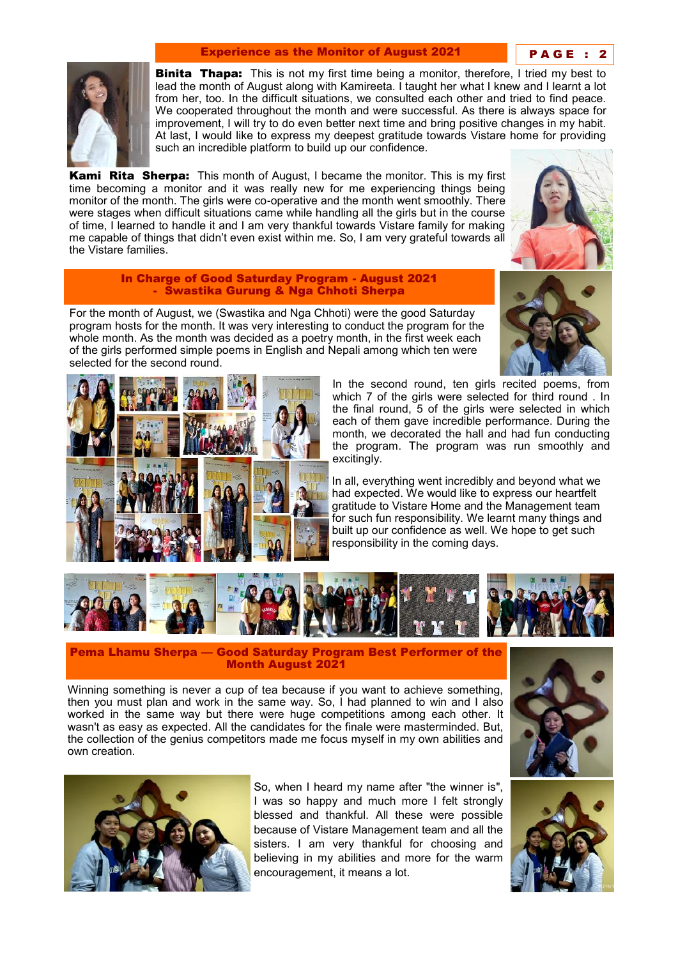## Experience as the Monitor of August 2021 PAGE :



**Binita Thapa:** This is not my first time being a monitor, therefore, I tried my best to lead the month of August along with Kamireeta. I taught her what I knew and I learnt a lot from her, too. In the difficult situations, we consulted each other and tried to find peace. We cooperated throughout the month and were successful. As there is always space for improvement, I will try to do even better next time and bring positive changes in my habit. At last, I would like to express my deepest gratitude towards Vistare home for providing such an incredible platform to build up our confidence.

**Kami Rita Sherpa:** This month of August, I became the monitor. This is my first time becoming a monitor and it was really new for me experiencing things being monitor of the month. The girls were co-operative and the month went smoothly. There were stages when difficult situations came while handling all the girls but in the course of time, I learned to handle it and I am very thankful towards Vistare family for making me capable of things that didn't even exist within me. So, I am very grateful towards all the Vistare families.



#### In Charge of Good Saturday Program - August 2021 - Swastika Gurung & Nga Chhoti Sherpa

For the month of August, we (Swastika and Nga Chhoti) were the good Saturday program hosts for the month. It was very interesting to conduct the program for the whole month. As the month was decided as a poetry month, in the first week each of the girls performed simple poems in English and Nepali among which ten were selected for the second round.





In the second round, ten girls recited poems, from which 7 of the girls were selected for third round . In the final round, 5 of the girls were selected in which each of them gave incredible performance. During the month, we decorated the hall and had fun conducting the program. The program was run smoothly and excitingly.

In all, everything went incredibly and beyond what we had expected. We would like to express our heartfelt gratitude to Vistare Home and the Management team for such fun responsibility. We learnt many things and built up our confidence as well. We hope to get such responsibility in the coming days.



Pema Lhamu Sherpa — Good Saturday Program Best Performer of the Month August 2021

Winning something is never a cup of tea because if you want to achieve something, then you must plan and work in the same way. So, I had planned to win and I also worked in the same way but there were huge competitions among each other. It wasn't as easy as expected. All the candidates for the finale were masterminded. But, the collection of the genius competitors made me focus myself in my own abilities and own creation.





So, when I heard my name after "the winner is", I was so happy and much more I felt strongly blessed and thankful. All these were possible because of Vistare Management team and all the sisters. I am very thankful for choosing and believing in my abilities and more for the warm encouragement, it means a lot.

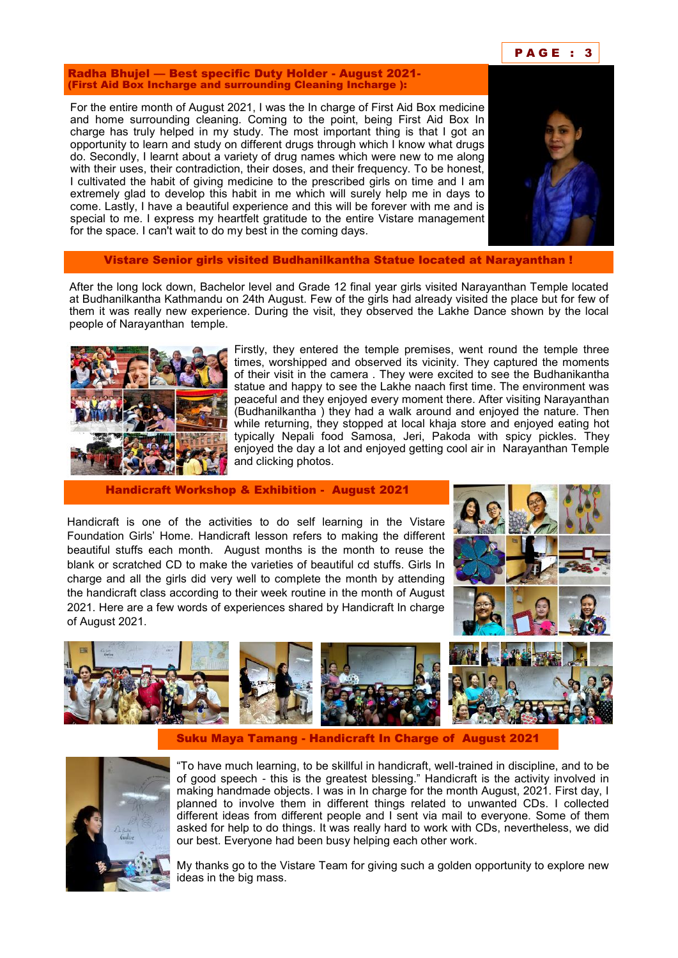

Radha Bhujel — Best specific Duty Holder - August 2021- (First Aid Box Incharge and surrounding Cleaning Incharge ):

For the entire month of August 2021, I was the In charge of First Aid Box medicine and home surrounding cleaning. Coming to the point, being First Aid Box In charge has truly helped in my study. The most important thing is that I got an opportunity to learn and study on different drugs through which I know what drugs do. Secondly, I learnt about a variety of drug names which were new to me along with their uses, their contradiction, their doses, and their frequency. To be honest, I cultivated the habit of giving medicine to the prescribed girls on time and I am extremely glad to develop this habit in me which will surely help me in days to come. Lastly, I have a beautiful experience and this will be forever with me and is special to me. I express my heartfelt gratitude to the entire Vistare management for the space. I can't wait to do my best in the coming days.



Vistare Senior girls visited Budhanilkantha Statue located at Narayanthan !

After the long lock down, Bachelor level and Grade 12 final year girls visited Narayanthan Temple located at Budhanilkantha Kathmandu on 24th August. Few of the girls had already visited the place but for few of them it was really new experience. During the visit, they observed the Lakhe Dance shown by the local people of Narayanthan temple.



Firstly, they entered the temple premises, went round the temple three times, worshipped and observed its vicinity. They captured the moments of their visit in the camera . They were excited to see the Budhanikantha statue and happy to see the Lakhe naach first time. The environment was peaceful and they enjoyed every moment there. After visiting Narayanthan (Budhanilkantha ) they had a walk around and enjoyed the nature. Then while returning, they stopped at local khaja store and enjoyed eating hot typically Nepali food Samosa, Jeri, Pakoda with spicy pickles. They enjoyed the day a lot and enjoyed getting cool air in Narayanthan Temple and clicking photos.

Handicraft Workshop & Exhibition - August 2021

Handicraft is one of the activities to do self learning in the Vistare Foundation Girls' Home. Handicraft lesson refers to making the different beautiful stuffs each month. August months is the month to reuse the blank or scratched CD to make the varieties of beautiful cd stuffs. Girls In charge and all the girls did very well to complete the month by attending the handicraft class according to their week routine in the month of August 2021. Here are a few words of experiences shared by Handicraft In charge of August 2021.





Suku Maya Tamang - Handicraft In Charge of August 2021



―To have much learning, to be skillful in handicraft, well-trained in discipline, and to be of good speech - this is the greatest blessing.‖ Handicraft is the activity involved in making handmade objects. I was in In charge for the month August, 2021. First day, I planned to involve them in different things related to unwanted CDs. I collected different ideas from different people and I sent via mail to everyone. Some of them asked for help to do things. It was really hard to work with CDs, nevertheless, we did our best. Everyone had been busy helping each other work.

My thanks go to the Vistare Team for giving such a golden opportunity to explore new ideas in the big mass.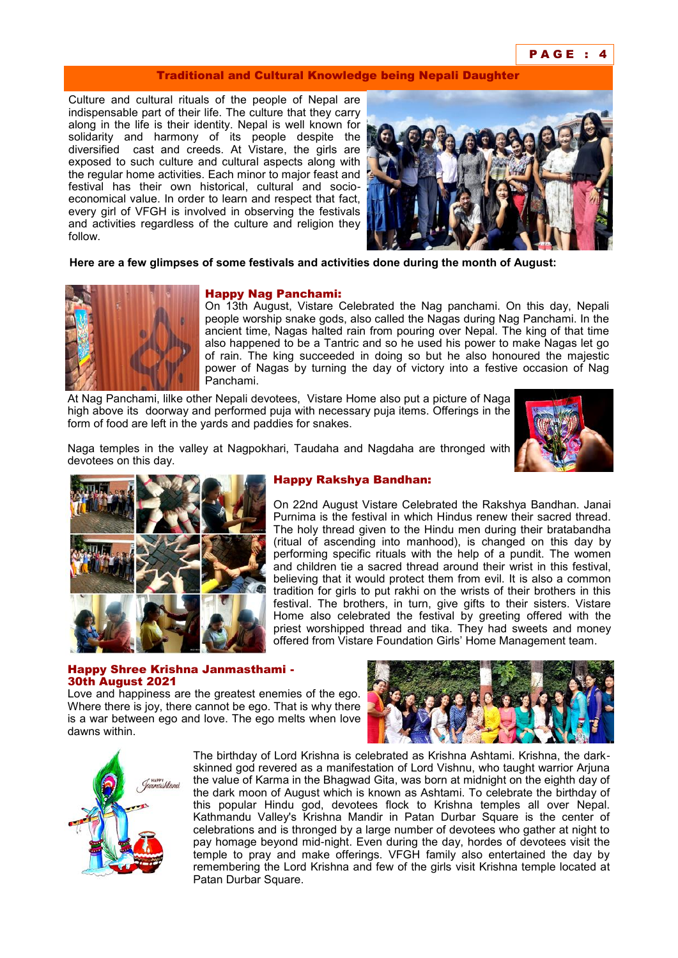#### P A G E : 4

#### Traditional and Cultural Knowledge being Nepali Daughter

Culture and cultural rituals of the people of Nepal are indispensable part of their life. The culture that they carry along in the life is their identity. Nepal is well known for solidarity and harmony of its people despite the diversified cast and creeds. At Vistare, the girls are exposed to such culture and cultural aspects along with the regular home activities. Each minor to major feast and festival has their own historical, cultural and socioeconomical value. In order to learn and respect that fact, every girl of VFGH is involved in observing the festivals and activities regardless of the culture and religion they follow.



**Here are a few glimpses of some festivals and activities done during the month of August:**



## Happy Nag Panchami:

On 13th August, Vistare Celebrated the Nag panchami. On this day, Nepali people worship snake gods, also called the Nagas during Nag Panchami. In the ancient time, Nagas halted rain from pouring over Nepal. The king of that time also happened to be a Tantric and so he used his power to make Nagas let go of rain. The king succeeded in doing so but he also honoured the majestic power of Nagas by turning the day of victory into a festive occasion of Nag Panchami.

At Nag Panchami, lilke other Nepali devotees, Vistare Home also put a picture of Naga high above its doorway and performed puja with necessary puja items. Offerings in the form of food are left in the yards and paddies for snakes.



Naga temples in the valley at Nagpokhari, Taudaha and Nagdaha are thronged with devotees on this day.



## Happy Rakshya Bandhan:

On 22nd August Vistare Celebrated the Rakshya Bandhan. Janai Purnima is the festival in which Hindus renew their sacred thread. The holy thread given to the Hindu men during their bratabandha (ritual of ascending into manhood), is changed on this day by performing specific rituals with the help of a pundit. The women and children tie a sacred thread around their wrist in this festival, believing that it would protect them from evil. It is also a common tradition for girls to put rakhi on the wrists of their brothers in this festival. The brothers, in turn, give gifts to their sisters. Vistare Home also celebrated the festival by greeting offered with the priest worshipped thread and tika. They had sweets and money offered from Vistare Foundation Girls' Home Management team.

#### Happy Shree Krishna Janmasthami - 30th August 2021

Love and happiness are the greatest enemies of the ego. Where there is joy, there cannot be ego. That is why there is a war between ego and love. The ego melts when love dawns within.





The birthday of Lord Krishna is celebrated as Krishna Ashtami. Krishna, the darkskinned god revered as a manifestation of Lord Vishnu, who taught warrior Arjuna the value of Karma in the Bhagwad Gita, was born at midnight on the eighth day of the dark moon of August which is known as Ashtami. To celebrate the birthday of this popular Hindu god, devotees flock to Krishna temples all over Nepal. Kathmandu Valley's Krishna Mandir in Patan Durbar Square is the center of celebrations and is thronged by a large number of devotees who gather at night to pay homage beyond mid-night. Even during the day, hordes of devotees visit the temple to pray and make offerings. VFGH family also entertained the day by remembering the Lord Krishna and few of the girls visit Krishna temple located at Patan Durbar Square.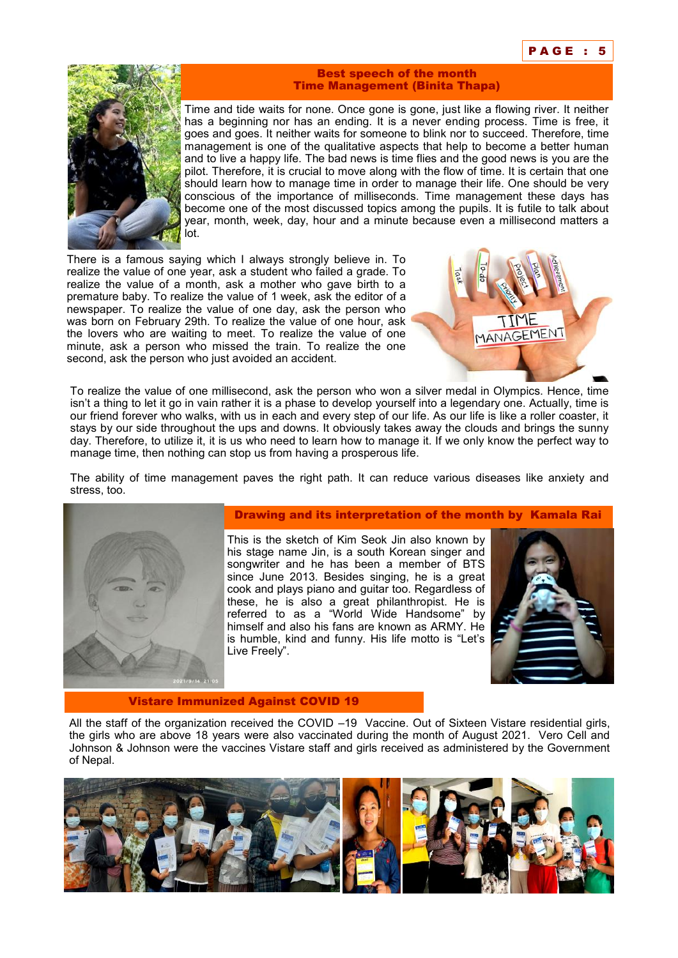

#### Best speech of the month Time Management (Binita Thapa)

Time and tide waits for none. Once gone is gone, just like a flowing river. It neither has a beginning nor has an ending. It is a never ending process. Time is free, it goes and goes. It neither waits for someone to blink nor to succeed. Therefore, time management is one of the qualitative aspects that help to become a better human and to live a happy life. The bad news is time flies and the good news is you are the pilot. Therefore, it is crucial to move along with the flow of time. It is certain that one should learn how to manage time in order to manage their life. One should be very conscious of the importance of milliseconds. Time management these days has become one of the most discussed topics among the pupils. It is futile to talk about year, month, week, day, hour and a minute because even a millisecond matters a lot.

There is a famous saying which I always strongly believe in. To realize the value of one year, ask a student who failed a grade. To realize the value of a month, ask a mother who gave birth to a premature baby. To realize the value of 1 week, ask the editor of a newspaper. To realize the value of one day, ask the person who was born on February 29th. To realize the value of one hour, ask the lovers who are waiting to meet. To realize the value of one minute, ask a person who missed the train. To realize the one second, ask the person who just avoided an accident.



To realize the value of one millisecond, ask the person who won a silver medal in Olympics. Hence, time isn't a thing to let it go in vain rather it is a phase to develop yourself into a legendary one. Actually, time is our friend forever who walks, with us in each and every step of our life. As our life is like a roller coaster, it stays by our side throughout the ups and downs. It obviously takes away the clouds and brings the sunny day. Therefore, to utilize it, it is us who need to learn how to manage it. If we only know the perfect way to manage time, then nothing can stop us from having a prosperous life.

The ability of time management paves the right path. It can reduce various diseases like anxiety and stress, too.



## Drawing and its interpretation of the month by Kamala Rai

This is the sketch of Kim Seok Jin also known by his stage name Jin, is a south Korean singer and songwriter and he has been a member of BTS since June 2013. Besides singing, he is a great cook and plays piano and guitar too. Regardless of these, he is also a great philanthropist. He is referred to as a "World Wide Handsome" by himself and also his fans are known as ARMY. He is humble, kind and funny. His life motto is "Let's Live Freely".



#### Vistare Immunized Against COVID 19

All the staff of the organization received the COVID –19 Vaccine. Out of Sixteen Vistare residential girls, the girls who are above 18 years were also vaccinated during the month of August 2021. Vero Cell and Johnson & Johnson were the vaccines Vistare staff and girls received as administered by the Government of Nepal.